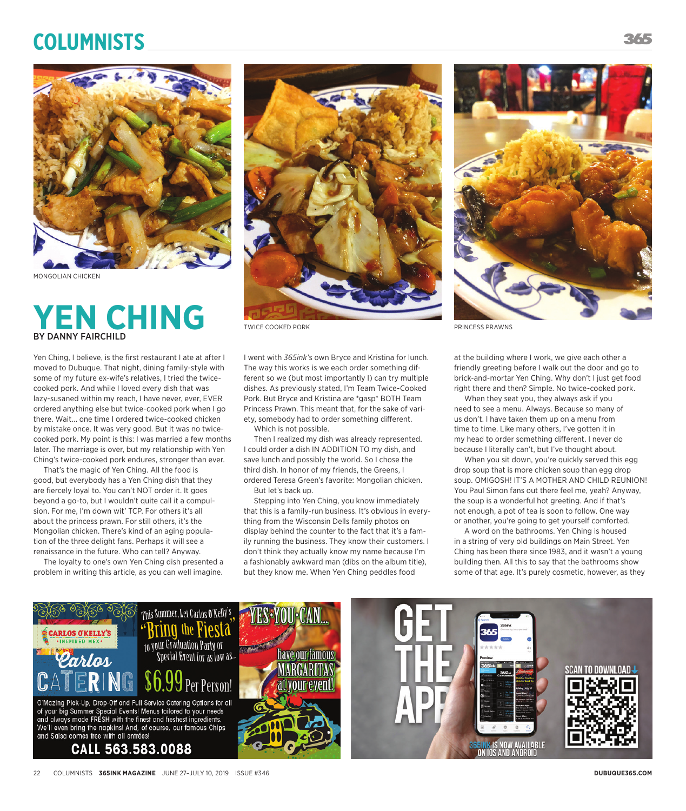## **Columnists**



MONGOLIAN CHICKEN

## **YEN CHING** BY DANNY FAIRCHILD

Yen Ching, I believe, is the first restaurant I ate at after I moved to Dubuque. That night, dining family-style with some of my future ex-wife's relatives, I tried the twicecooked pork. And while I loved every dish that was lazy-susaned within my reach, I have never, ever, EVER ordered anything else but twice-cooked pork when I go there. Wait... one time I ordered twice-cooked chicken by mistake once. It was very good. But it was no twicecooked pork. My point is this: I was married a few months later. The marriage is over, but my relationship with Yen Ching's twice-cooked pork endures, stronger than ever.

That's the magic of Yen Ching. All the food is good, but everybody has a Yen Ching dish that they are fiercely loyal to. You can't NOT order it. It goes beyond a go-to, but I wouldn't quite call it a compulsion. For me, I'm down wit' TCP. For others it's all about the princess prawn. For still others, it's the Mongolian chicken. There's kind of an aging population of the three delight fans. Perhaps it will see a renaissance in the future. Who can tell? Anyway.

The loyalty to one's own Yen Ching dish presented a problem in writing this article, as you can well imagine.



TWICE COOKED PORK THE RESERVE PRINCESS PRAWNS

I went with *365ink*'s own Bryce and Kristina for lunch. The way this works is we each order something different so we (but most importantly I) can try multiple dishes. As previously stated, I'm Team Twice-Cooked Pork. But Bryce and Kristina are \*gasp\* BOTH Team Princess Prawn. This meant that, for the sake of variety, somebody had to order something different.

Which is not possible.

Then I realized my dish was already represented. I could order a dish IN ADDITION TO my dish, and save lunch and possibly the world. So I chose the third dish. In honor of my friends, the Greens, I ordered Teresa Green's favorite: Mongolian chicken. But let's back up.

Stepping into Yen Ching, you know immediately that this is a family-run business. It's obvious in everything from the Wisconsin Dells family photos on display behind the counter to the fact that it's a family running the business. They know their customers. I don't think they actually know my name because I'm a fashionably awkward man (dibs on the album title), but they know me. When Yen Ching peddles food



at the building where I work, we give each other a friendly greeting before I walk out the door and go to brick-and-mortar Yen Ching. Why don't I just get food right there and then? Simple. No twice-cooked pork.

When they seat you, they always ask if you need to see a menu. Always. Because so many of us don't. I have taken them up on a menu from time to time. Like many others, I've gotten it in my head to order something different. I never do because I literally can't, but I've thought about.

When you sit down, you're quickly served this egg drop soup that is more chicken soup than egg drop soup. OMIGOSH! IT'S A MOTHER AND CHILD REUNION! You Paul Simon fans out there feel me, yeah? Anyway, the soup is a wonderful hot greeting. And if that's not enough, a pot of tea is soon to follow. One way or another, you're going to get yourself comforted.

A word on the bathrooms. Yen Ching is housed in a string of very old buildings on Main Street. Yen Ching has been there since 1983, and it wasn't a young building then. All this to say that the bathrooms show some of that age. It's purely cosmetic, however, as they